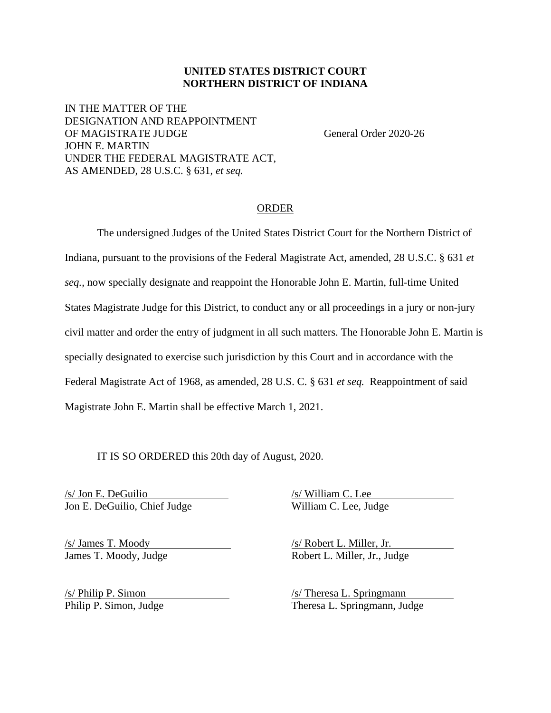## **UNITED STATES DISTRICT COURT NORTHERN DISTRICT OF INDIANA**

IN THE MATTER OF THE DESIGNATION AND REAPPOINTMENT OF MAGISTRATE JUDGE General Order 2020-26 JOHN E. MARTIN UNDER THE FEDERAL MAGISTRATE ACT, AS AMENDED, 28 U.S.C. § 631, *et seq.*

## ORDER

The undersigned Judges of the United States District Court for the Northern District of Indiana, pursuant to the provisions of the Federal Magistrate Act, amended, 28 U.S.C. § 631 *et seq.*, now specially designate and reappoint the Honorable John E. Martin, full-time United States Magistrate Judge for this District, to conduct any or all proceedings in a jury or non-jury civil matter and order the entry of judgment in all such matters. The Honorable John E. Martin is specially designated to exercise such jurisdiction by this Court and in accordance with the Federal Magistrate Act of 1968, as amended, 28 U.S. C. § 631 *et seq.* Reappointment of said Magistrate John E. Martin shall be effective March 1, 2021.

IT IS SO ORDERED this 20th day of August, 2020.

 $\frac{\sqrt{s}}{\text{Jon E. DeGuilio}}$  /s/ William C. Lee Judge /s/ William C. Lee Judge /s/ William C. Lee Judge Jon E. DeGuilio, Chief Judge

/s/ James T. Moody /s/ Robert L. Miller, Jr. James T. Moody, Judge Robert L. Miller, Jr., Judge

 $\frac{\sqrt{s}}{\text{hiling P. Simon}}$  /s/ Theresa L. Springmann Philip P. Simon, Judge Theresa L. Springmann, Judge